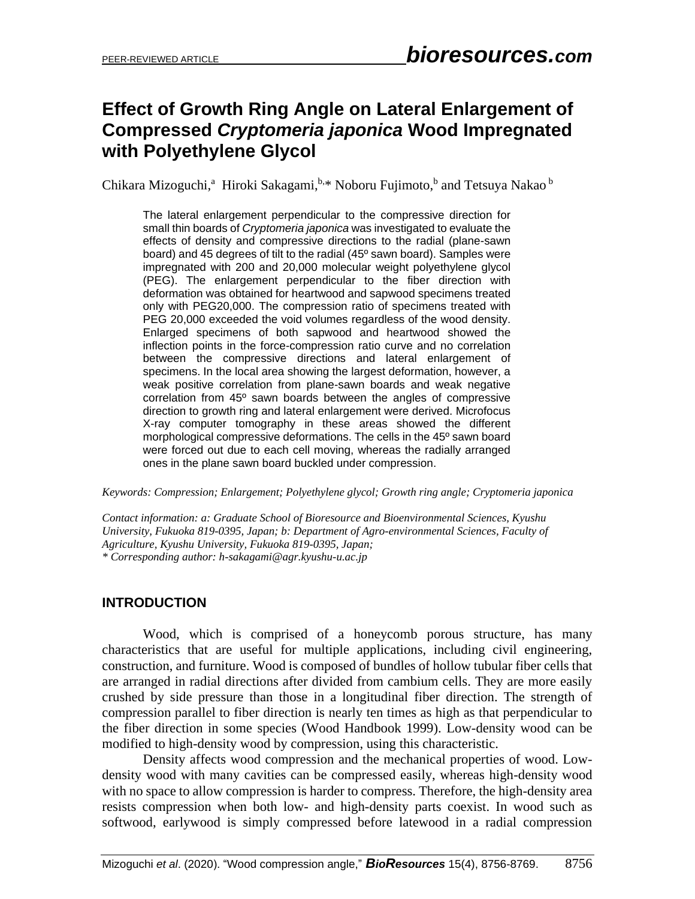# **Effect of Growth Ring Angle on Lateral Enlargement of Compressed** *Cryptomeria japonica* **Wood Impregnated with Polyethylene Glycol**

Chikara Mizoguchi,<sup>a</sup> Hiroki Sakagami, **b.\* Noboru Fujimoto,** b and Tetsuya Nakao b

The lateral enlargement perpendicular to the compressive direction for small thin boards of *Cryptomeria japonica* was investigated to evaluate the effects of density and compressive directions to the radial (plane-sawn board) and 45 degrees of tilt to the radial (45º sawn board). Samples were impregnated with 200 and 20,000 molecular weight polyethylene glycol (PEG). The enlargement perpendicular to the fiber direction with deformation was obtained for heartwood and sapwood specimens treated only with PEG20,000. The compression ratio of specimens treated with PEG 20,000 exceeded the void volumes regardless of the wood density. Enlarged specimens of both sapwood and heartwood showed the inflection points in the force-compression ratio curve and no correlation between the compressive directions and lateral enlargement of specimens. In the local area showing the largest deformation, however, a weak positive correlation from plane-sawn boards and weak negative correlation from 45º sawn boards between the angles of compressive direction to growth ring and lateral enlargement were derived. Microfocus X-ray computer tomography in these areas showed the different morphological compressive deformations. The cells in the 45º sawn board were forced out due to each cell moving, whereas the radially arranged ones in the plane sawn board buckled under compression.

*Keywords: Compression; Enlargement; Polyethylene glycol; Growth ring angle; Cryptomeria japonica*

*Contact information: a: Graduate School of Bioresource and Bioenvironmental Sciences, Kyushu University, Fukuoka 819-0395, Japan; b: Department of Agro-environmental Sciences, Faculty of Agriculture, Kyushu University, Fukuoka 819-0395, Japan; \* Corresponding author: h-sakagami@agr.kyushu-u.ac.jp*

## **INTRODUCTION**

Wood, which is comprised of a honeycomb porous structure, has many characteristics that are useful for multiple applications, including civil engineering, construction, and furniture. Wood is composed of bundles of hollow tubular fiber cells that are arranged in radial directions after divided from cambium cells. They are more easily crushed by side pressure than those in a longitudinal fiber direction. The strength of compression parallel to fiber direction is nearly ten times as high as that perpendicular to the fiber direction in some species (Wood Handbook 1999). Low-density wood can be modified to high-density wood by compression, using this characteristic.

Density affects wood compression and the mechanical properties of wood. Lowdensity wood with many cavities can be compressed easily, whereas high-density wood with no space to allow compression is harder to compress. Therefore, the high-density area resists compression when both low- and high-density parts coexist. In wood such as softwood, earlywood is simply compressed before latewood in a radial compression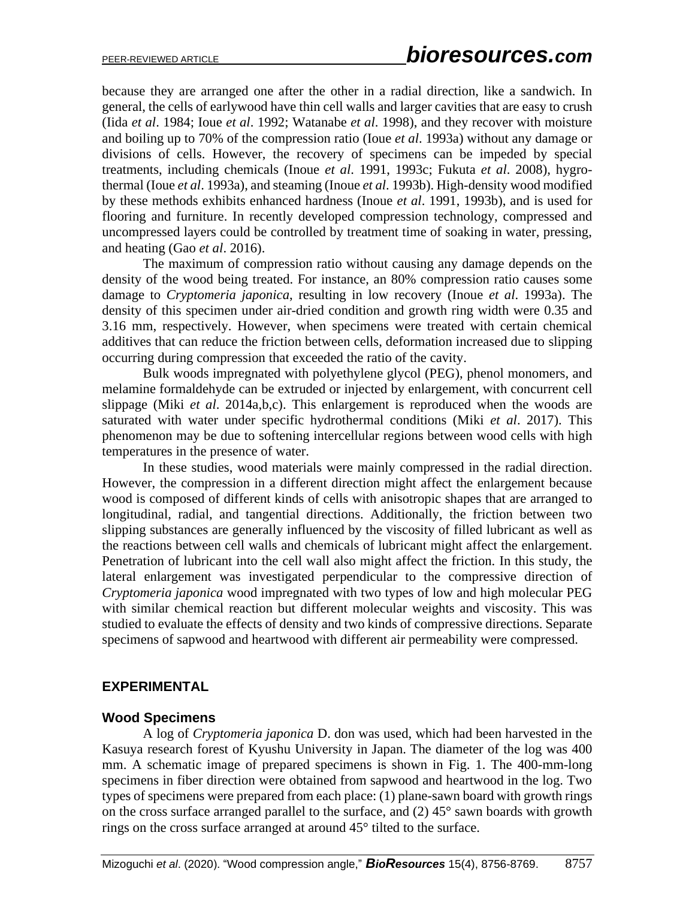because they are arranged one after the other in a radial direction, like a sandwich. In general, the cells of earlywood have thin cell walls and larger cavities that are easy to crush (Iida *et al*. 1984; Ioue *et al*. 1992; Watanabe *et al*. 1998), and they recover with moisture and boiling up to 70% of the compression ratio (Ioue *et al*. 1993a) without any damage or divisions of cells. However, the recovery of specimens can be impeded by special treatments, including chemicals (Inoue *et al*. 1991, 1993c; Fukuta *et al*. 2008), hygrothermal (Ioue *et al*. 1993a), and steaming (Inoue *et al*. 1993b). High-density wood modified by these methods exhibits enhanced hardness (Inoue *et al*. 1991, 1993b), and is used for flooring and furniture. In recently developed compression technology, compressed and uncompressed layers could be controlled by treatment time of soaking in water, pressing, and heating (Gao *et al*. 2016).

The maximum of compression ratio without causing any damage depends on the density of the wood being treated. For instance, an 80% compression ratio causes some damage to *Cryptomeria japonica*, resulting in low recovery (Inoue *et al*. 1993a). The density of this specimen under air-dried condition and growth ring width were 0.35 and 3.16 mm, respectively. However, when specimens were treated with certain chemical additives that can reduce the friction between cells, deformation increased due to slipping occurring during compression that exceeded the ratio of the cavity.

Bulk woods impregnated with polyethylene glycol (PEG), phenol monomers, and melamine formaldehyde can be extruded or injected by enlargement, with concurrent cell slippage (Miki *et al*. 2014a,b,c). This enlargement is reproduced when the woods are saturated with water under specific hydrothermal conditions (Miki *et al*. 2017). This phenomenon may be due to softening intercellular regions between wood cells with high temperatures in the presence of water.

In these studies, wood materials were mainly compressed in the radial direction. However, the compression in a different direction might affect the enlargement because wood is composed of different kinds of cells with anisotropic shapes that are arranged to longitudinal, radial, and tangential directions. Additionally, the friction between two slipping substances are generally influenced by the viscosity of filled lubricant as well as the reactions between cell walls and chemicals of lubricant might affect the enlargement. Penetration of lubricant into the cell wall also might affect the friction. In this study, the lateral enlargement was investigated perpendicular to the compressive direction of *Cryptomeria japonica* wood impregnated with two types of low and high molecular PEG with similar chemical reaction but different molecular weights and viscosity. This was studied to evaluate the effects of density and two kinds of compressive directions. Separate specimens of sapwood and heartwood with different air permeability were compressed.

### **EXPERIMENTAL**

### **Wood Specimens**

A log of *Cryptomeria japonica* D. don was used, which had been harvested in the Kasuya research forest of Kyushu University in Japan. The diameter of the log was 400 mm. A schematic image of prepared specimens is shown in Fig. 1. The 400-mm-long specimens in fiber direction were obtained from sapwood and heartwood in the log. Two types of specimens were prepared from each place: (1) plane-sawn board with growth rings on the cross surface arranged parallel to the surface, and  $(2)$  45 $^{\circ}$  sawn boards with growth rings on the cross surface arranged at around 45° tilted to the surface.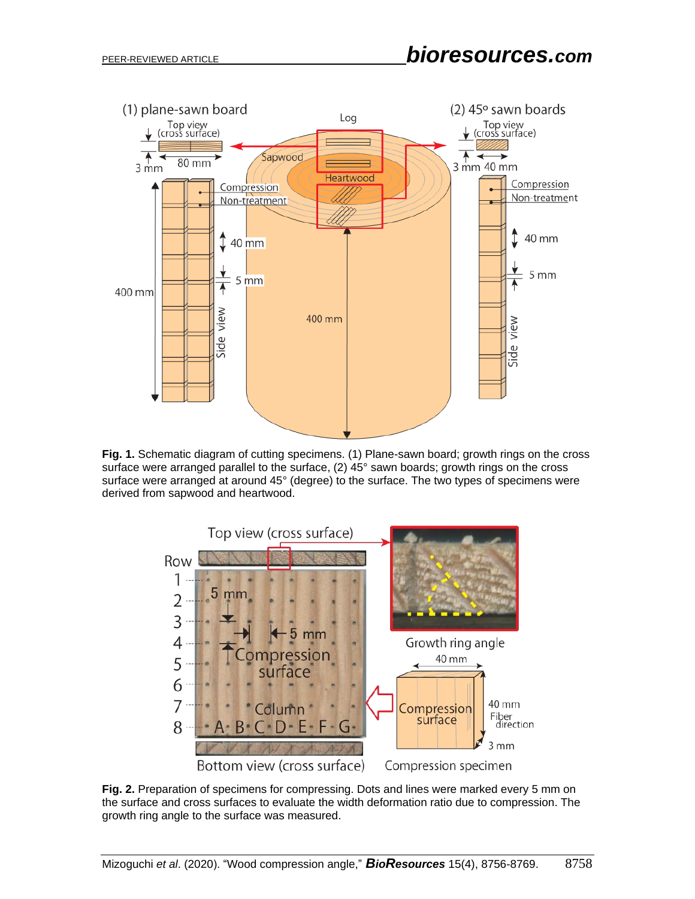

**Fig. 1.** Schematic diagram of cutting specimens. (1) Plane-sawn board; growth rings on the cross surface were arranged parallel to the surface, (2) 45° sawn boards; growth rings on the cross surface were arranged at around 45° (degree) to the surface. The two types of specimens were derived from sapwood and heartwood.



**Fig. 2.** Preparation of specimens for compressing. Dots and lines were marked every 5 mm on the surface and cross surfaces to evaluate the width deformation ratio due to compression. The growth ring angle to the surface was measured.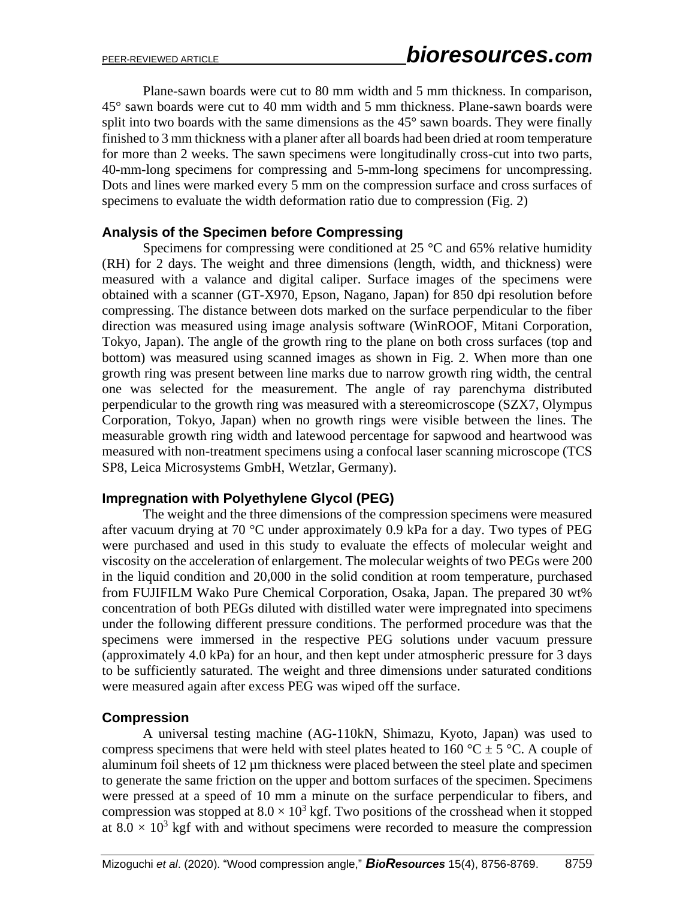Plane-sawn boards were cut to 80 mm width and 5 mm thickness. In comparison, 45° sawn boards were cut to 40 mm width and 5 mm thickness. Plane-sawn boards were split into two boards with the same dimensions as the 45° sawn boards. They were finally finished to 3 mm thickness with a planer after all boards had been dried at room temperature for more than 2 weeks. The sawn specimens were longitudinally cross-cut into two parts, 40-mm-long specimens for compressing and 5-mm-long specimens for uncompressing. Dots and lines were marked every 5 mm on the compression surface and cross surfaces of specimens to evaluate the width deformation ratio due to compression (Fig. 2)

### **Analysis of the Specimen before Compressing**

Specimens for compressing were conditioned at  $25^{\circ}$ C and 65% relative humidity (RH) for 2 days. The weight and three dimensions (length, width, and thickness) were measured with a valance and digital caliper. Surface images of the specimens were obtained with a scanner (GT-X970, Epson, Nagano, Japan) for 850 dpi resolution before compressing. The distance between dots marked on the surface perpendicular to the fiber direction was measured using image analysis software (WinROOF, Mitani Corporation, Tokyo, Japan). The angle of the growth ring to the plane on both cross surfaces (top and bottom) was measured using scanned images as shown in Fig. 2. When more than one growth ring was present between line marks due to narrow growth ring width, the central one was selected for the measurement. The angle of ray parenchyma distributed perpendicular to the growth ring was measured with a stereomicroscope (SZX7, Olympus Corporation, Tokyo, Japan) when no growth rings were visible between the lines. The measurable growth ring width and latewood percentage for sapwood and heartwood was measured with non-treatment specimens using a confocal laser scanning microscope (TCS SP8, Leica Microsystems GmbH, Wetzlar, Germany).

### **Impregnation with Polyethylene Glycol (PEG)**

The weight and the three dimensions of the compression specimens were measured after vacuum drying at 70 °C under approximately 0.9 kPa for a day. Two types of PEG were purchased and used in this study to evaluate the effects of molecular weight and viscosity on the acceleration of enlargement. The molecular weights of two PEGs were 200 in the liquid condition and 20,000 in the solid condition at room temperature, purchased from FUJIFILM Wako Pure Chemical Corporation, Osaka, Japan. The prepared 30 wt% concentration of both PEGs diluted with distilled water were impregnated into specimens under the following different pressure conditions. The performed procedure was that the specimens were immersed in the respective PEG solutions under vacuum pressure (approximately 4.0 kPa) for an hour, and then kept under atmospheric pressure for 3 days to be sufficiently saturated. The weight and three dimensions under saturated conditions were measured again after excess PEG was wiped off the surface.

### **Compression**

A universal testing machine (AG-110kN, Shimazu, Kyoto, Japan) was used to compress specimens that were held with steel plates heated to 160 °C  $\pm$  5 °C. A couple of aluminum foil sheets of  $12 \mu m$  thickness were placed between the steel plate and specimen to generate the same friction on the upper and bottom surfaces of the specimen. Specimens were pressed at a speed of 10 mm a minute on the surface perpendicular to fibers, and compression was stopped at  $8.0 \times 10^3$  kgf. Two positions of the crosshead when it stopped at  $8.0 \times 10^3$  kgf with and without specimens were recorded to measure the compression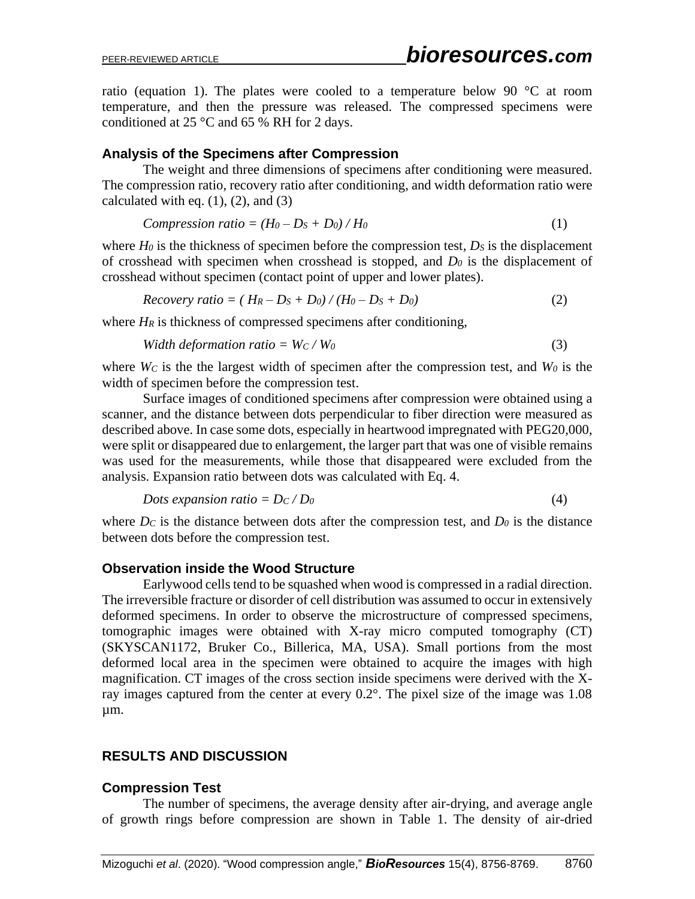ratio (equation 1). The plates were cooled to a temperature below 90  $\degree$ C at room temperature, and then the pressure was released. The compressed specimens were conditioned at 25 °C and 65 % RH for 2 days.

## **Analysis of the Specimens after Compression**

The weight and three dimensions of specimens after conditioning were measured. The compression ratio, recovery ratio after conditioning, and width deformation ratio were calculated with eq.  $(1)$ ,  $(2)$ , and  $(3)$ 

*Compression ratio* = 
$$
(H_0 - D_S + D_0) / H_0
$$
 (1)

where *H*<sup>0</sup> is the thickness of specimen before the compression test, *D*<sup>*s*</sup> is the displacement of crosshead with specimen when crosshead is stopped, and *D<sup>0</sup>* is the displacement of crosshead without specimen (contact point of upper and lower plates).

$$
Recovery ratio = (H_R - D_S + D_0) / (H_0 - D_S + D_0)
$$
\n(2)

where  $H_R$  is thickness of compressed specimens after conditioning,

*Width deformation ratio* =  $W_c / W_0$ (3)

where  $W_C$  is the the largest width of specimen after the compression test, and  $W_0$  is the width of specimen before the compression test.

Surface images of conditioned specimens after compression were obtained using a scanner, and the distance between dots perpendicular to fiber direction were measured as described above. In case some dots, especially in heartwood impregnated with PEG20,000, were split or disappeared due to enlargement, the larger part that was one of visible remains was used for the measurements, while those that disappeared were excluded from the analysis. Expansion ratio between dots was calculated with Eq. 4.

$$
Dots expansion ratio = DC/D0
$$
\n(4)

where  $D_c$  is the distance between dots after the compression test, and  $D_0$  is the distance between dots before the compression test.

## **Observation inside the Wood Structure**

Earlywood cells tend to be squashed when wood is compressed in a radial direction. The irreversible fracture or disorder of cell distribution was assumed to occur in extensively deformed specimens. In order to observe the microstructure of compressed specimens, tomographic images were obtained with X-ray micro computed tomography (CT) (SKYSCAN1172, Bruker Co., Billerica, MA, USA). Small portions from the most deformed local area in the specimen were obtained to acquire the images with high magnification. CT images of the cross section inside specimens were derived with the Xray images captured from the center at every 0.2°. The pixel size of the image was 1.08 µm.

## **RESULTS AND DISCUSSION**

### **Compression Test**

The number of specimens, the average density after air-drying, and average angle of growth rings before compression are shown in Table 1. The density of air-dried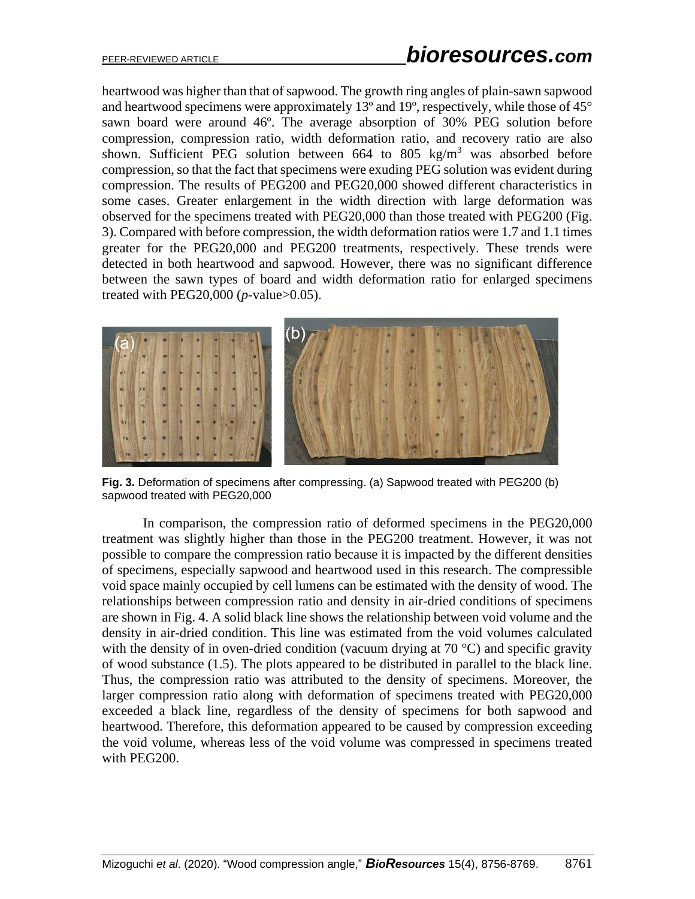heartwood was higher than that of sapwood. The growth ring angles of plain-sawn sapwood and heartwood specimens were approximately 13º and 19º, respectively, while those of 45° sawn board were around 46º. The average absorption of 30% PEG solution before compression, compression ratio, width deformation ratio, and recovery ratio are also shown. Sufficient PEG solution between  $664$  to  $805 \text{ kg/m}^3$  was absorbed before compression, so that the fact that specimens were exuding PEG solution was evident during compression. The results of PEG200 and PEG20,000 showed different characteristics in some cases. Greater enlargement in the width direction with large deformation was observed for the specimens treated with PEG20,000 than those treated with PEG200 (Fig. 3). Compared with before compression, the width deformation ratios were 1.7 and 1.1 times greater for the PEG20,000 and PEG200 treatments, respectively. These trends were detected in both heartwood and sapwood. However, there was no significant difference between the sawn types of board and width deformation ratio for enlarged specimens treated with PEG20,000 (*p*-value>0.05).



**Fig. 3.** Deformation of specimens after compressing. (a) Sapwood treated with PEG200 (b) sapwood treated with PEG20,000

In comparison, the compression ratio of deformed specimens in the PEG20,000 treatment was slightly higher than those in the PEG200 treatment. However, it was not possible to compare the compression ratio because it is impacted by the different densities of specimens, especially sapwood and heartwood used in this research. The compressible void space mainly occupied by cell lumens can be estimated with the density of wood. The relationships between compression ratio and density in air-dried conditions of specimens are shown in Fig. 4. A solid black line shows the relationship between void volume and the density in air-dried condition. This line was estimated from the void volumes calculated with the density of in oven-dried condition (vacuum drying at  $70^{\circ}$ C) and specific gravity of wood substance (1.5). The plots appeared to be distributed in parallel to the black line. Thus, the compression ratio was attributed to the density of specimens. Moreover, the larger compression ratio along with deformation of specimens treated with PEG20,000 exceeded a black line, regardless of the density of specimens for both sapwood and heartwood. Therefore, this deformation appeared to be caused by compression exceeding the void volume, whereas less of the void volume was compressed in specimens treated with PEG200.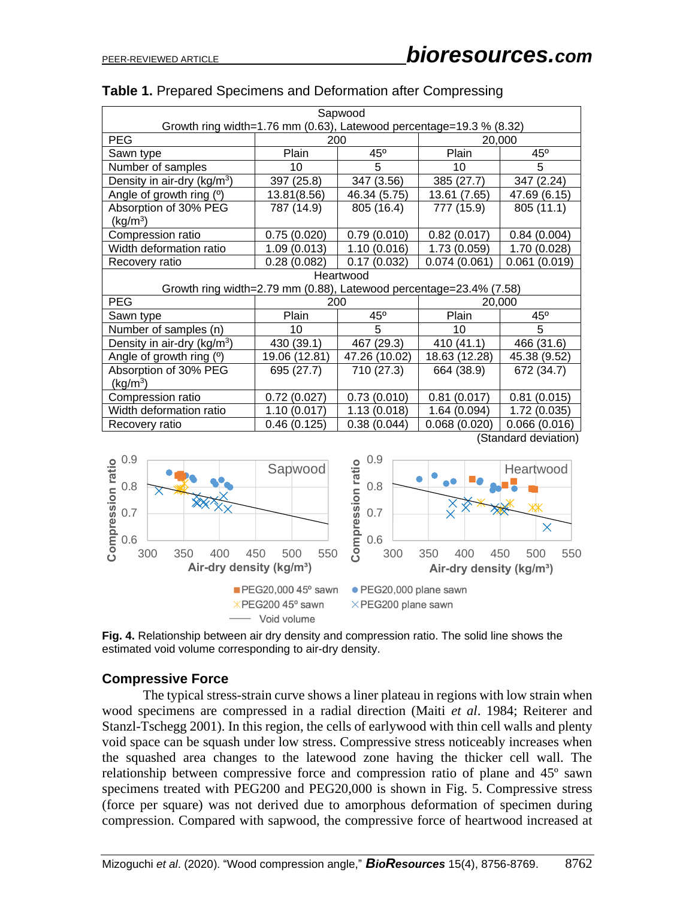| Sapwood                                                             |               |               |               |              |
|---------------------------------------------------------------------|---------------|---------------|---------------|--------------|
| Growth ring width=1.76 mm (0.63), Latewood percentage=19.3 % (8.32) |               |               |               |              |
| <b>PEG</b>                                                          | 200           |               | 20,000        |              |
| Sawn type                                                           | Plain         | 45°           | Plain         | $45^{\circ}$ |
| Number of samples                                                   | 10            | 5             | 10            | 5            |
| Density in air-dry (kg/m <sup>3</sup> )                             | 397 (25.8)    | 347 (3.56)    | 385 (27.7)    | 347 (2.24)   |
| Angle of growth ring (°)                                            | 13.81(8.56)   | 46.34 (5.75)  | 13.61 (7.65)  | 47.69 (6.15) |
| Absorption of 30% PEG                                               | 787 (14.9)    | 805 (16.4)    | 777 (15.9)    | 805 (11.1)   |
| (kg/m <sup>3</sup> )                                                |               |               |               |              |
| Compression ratio                                                   | 0.75(0.020)   | 0.79(0.010)   | 0.82(0.017)   | 0.84(0.004)  |
| Width deformation ratio                                             | 1.09(0.013)   | 1.10(0.016)   | 1.73 (0.059)  | 1.70 (0.028) |
| Recovery ratio                                                      | 0.28(0.082)   | 0.17(0.032)   | 0.074(0.061)  | 0.061(0.019) |
| Heartwood                                                           |               |               |               |              |
| Growth ring width=2.79 mm (0.88), Latewood percentage=23.4% (7.58)  |               |               |               |              |
| <b>PEG</b>                                                          | 200           |               | 20,000        |              |
| Sawn type                                                           | Plain         | $45^{\circ}$  | Plain         | $45^{\circ}$ |
| Number of samples (n)                                               | 10            | 5             | 10            | 5            |
| Density in air-dry (kg/m <sup>3</sup> )                             | 430 (39.1)    | 467 (29.3)    | 410 (41.1)    | 466 (31.6)   |
| Angle of growth ring (°)                                            | 19.06 (12.81) | 47.26 (10.02) | 18.63 (12.28) | 45.38 (9.52) |
| Absorption of 30% PEG                                               | 695 (27.7)    | 710 (27.3)    | 664 (38.9)    | 672 (34.7)   |
| (kg/m <sup>3</sup> )                                                |               |               |               |              |
| Compression ratio                                                   | 0.72(0.027)   | 0.73(0.010)   | 0.81(0.017)   | 0.81(0.015)  |
| Width deformation ratio                                             | 1.10(0.017)   | 1.13(0.018)   | 1.64(0.094)   | 1.72(0.035)  |
| Recovery ratio                                                      | 0.46(0.125)   | 0.38(0.044)   | 0.068(0.020)  | 0.066(0.016) |
| (Standard deviation)                                                |               |               |               |              |

### **Table 1.** Prepared Specimens and Deformation after Compressing





### **Compressive Force**

The typical stress-strain curve shows a liner plateau in regions with low strain when wood specimens are compressed in a radial direction (Maiti *et al*. 1984; Reiterer and Stanzl-Tschegg 2001). In this region, the cells of earlywood with thin cell walls and plenty void space can be squash under low stress. Compressive stress noticeably increases when the squashed area changes to the latewood zone having the thicker cell wall. The relationship between compressive force and compression ratio of plane and 45º sawn specimens treated with PEG200 and PEG20,000 is shown in Fig. 5. Compressive stress (force per square) was not derived due to amorphous deformation of specimen during compression. Compared with sapwood, the compressive force of heartwood increased at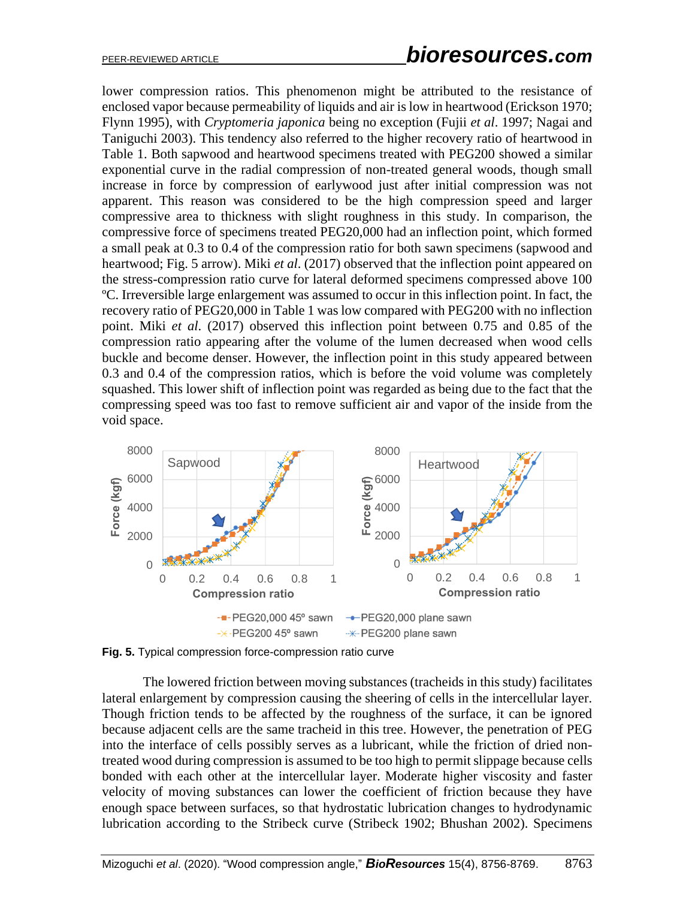lower compression ratios. This phenomenon might be attributed to the resistance of enclosed vapor because permeability of liquids and air is low in heartwood (Erickson 1970; Flynn 1995), with *Cryptomeria japonica* being no exception (Fujii *et al*. 1997; Nagai and Taniguchi 2003). This tendency also referred to the higher recovery ratio of heartwood in Table 1. Both sapwood and heartwood specimens treated with PEG200 showed a similar exponential curve in the radial compression of non-treated general woods, though small increase in force by compression of earlywood just after initial compression was not apparent. This reason was considered to be the high compression speed and larger compressive area to thickness with slight roughness in this study. In comparison, the compressive force of specimens treated PEG20,000 had an inflection point, which formed a small peak at 0.3 to 0.4 of the compression ratio for both sawn specimens (sapwood and heartwood; Fig. 5 arrow). Miki *et al*. (2017) observed that the inflection point appeared on the stress-compression ratio curve for lateral deformed specimens compressed above 100 ºC. Irreversible large enlargement was assumed to occur in this inflection point. In fact, the recovery ratio of PEG20,000 in Table 1 was low compared with PEG200 with no inflection point. Miki *et al*. (2017) observed this inflection point between 0.75 and 0.85 of the compression ratio appearing after the volume of the lumen decreased when wood cells buckle and become denser. However, the inflection point in this study appeared between 0.3 and 0.4 of the compression ratios, which is before the void volume was completely squashed. This lower shift of inflection point was regarded as being due to the fact that the compressing speed was too fast to remove sufficient air and vapor of the inside from the void space.



**Fig. 5.** Typical compression force-compression ratio curve

The lowered friction between moving substances (tracheids in this study) facilitates lateral enlargement by compression causing the sheering of cells in the intercellular layer. Though friction tends to be affected by the roughness of the surface, it can be ignored because adjacent cells are the same tracheid in this tree. However, the penetration of PEG into the interface of cells possibly serves as a lubricant, while the friction of dried nontreated wood during compression is assumed to be too high to permit slippage because cells bonded with each other at the intercellular layer. Moderate higher viscosity and faster velocity of moving substances can lower the coefficient of friction because they have enough space between surfaces, so that hydrostatic lubrication changes to hydrodynamic lubrication according to the Stribeck curve (Stribeck 1902; Bhushan 2002). Specimens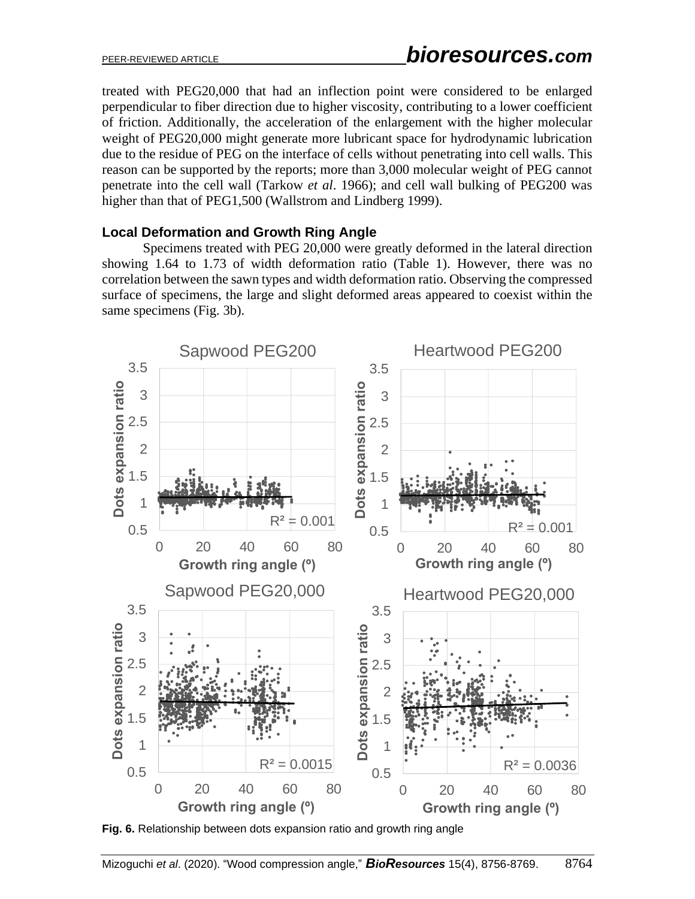treated with PEG20,000 that had an inflection point were considered to be enlarged perpendicular to fiber direction due to higher viscosity, contributing to a lower coefficient of friction. Additionally, the acceleration of the enlargement with the higher molecular weight of PEG20,000 might generate more lubricant space for hydrodynamic lubrication due to the residue of PEG on the interface of cells without penetrating into cell walls. This reason can be supported by the reports; more than 3,000 molecular weight of PEG cannot penetrate into the cell wall (Tarkow *et al*. 1966); and cell wall bulking of PEG200 was higher than that of PEG1,500 (Wallstrom and Lindberg 1999).

## **Local Deformation and Growth Ring Angle**

Specimens treated with PEG 20,000 were greatly deformed in the lateral direction showing 1.64 to 1.73 of width deformation ratio (Table 1). However, there was no correlation between the sawn types and width deformation ratio. Observing the compressed surface of specimens, the large and slight deformed areas appeared to coexist within the same specimens (Fig. 3b).



**Fig. 6.** Relationship between dots expansion ratio and growth ring angle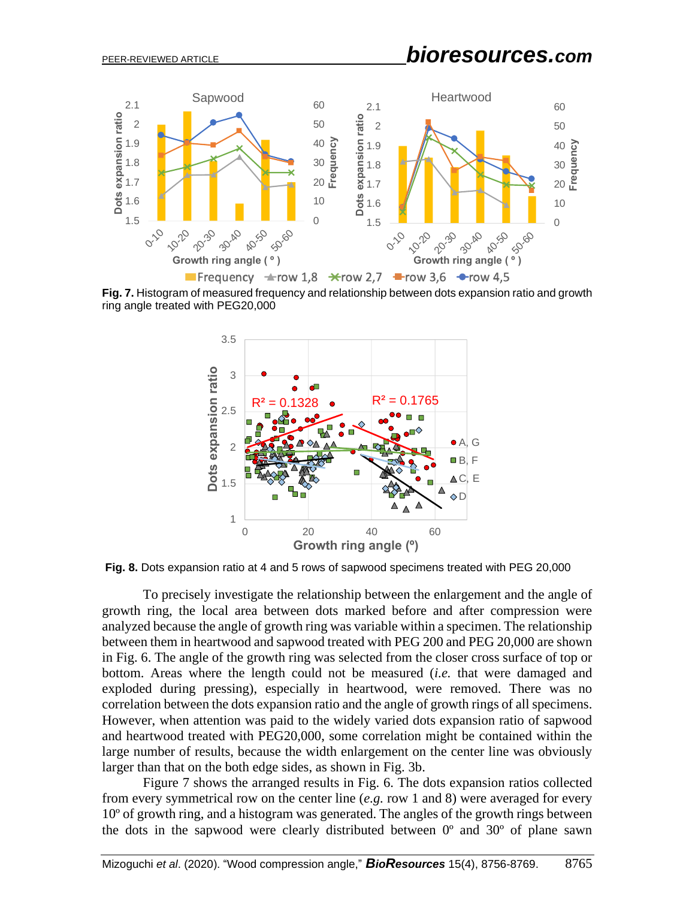# PEER-REVIEWED ARTICLE *bioresources.com*



**Fig. 7.** Histogram of measured frequency and relationship between dots expansion ratio and growth ring angle treated with PEG20,000



**Fig. 8.** Dots expansion ratio at 4 and 5 rows of sapwood specimens treated with PEG 20,000

To precisely investigate the relationship between the enlargement and the angle of growth ring, the local area between dots marked before and after compression were analyzed because the angle of growth ring was variable within a specimen. The relationship between them in heartwood and sapwood treated with PEG 200 and PEG 20,000 are shown in Fig. 6. The angle of the growth ring was selected from the closer cross surface of top or bottom. Areas where the length could not be measured (*i.e.* that were damaged and exploded during pressing), especially in heartwood, were removed. There was no correlation between the dots expansion ratio and the angle of growth rings of all specimens. However, when attention was paid to the widely varied dots expansion ratio of sapwood and heartwood treated with PEG20,000, some correlation might be contained within the large number of results, because the width enlargement on the center line was obviously larger than that on the both edge sides, as shown in Fig. 3b.

Figure 7 shows the arranged results in Fig. 6. The dots expansion ratios collected from every symmetrical row on the center line (*e.g.* row 1 and 8) were averaged for every 10º of growth ring, and a histogram was generated. The angles of the growth rings between the dots in the sapwood were clearly distributed between 0º and 30º of plane sawn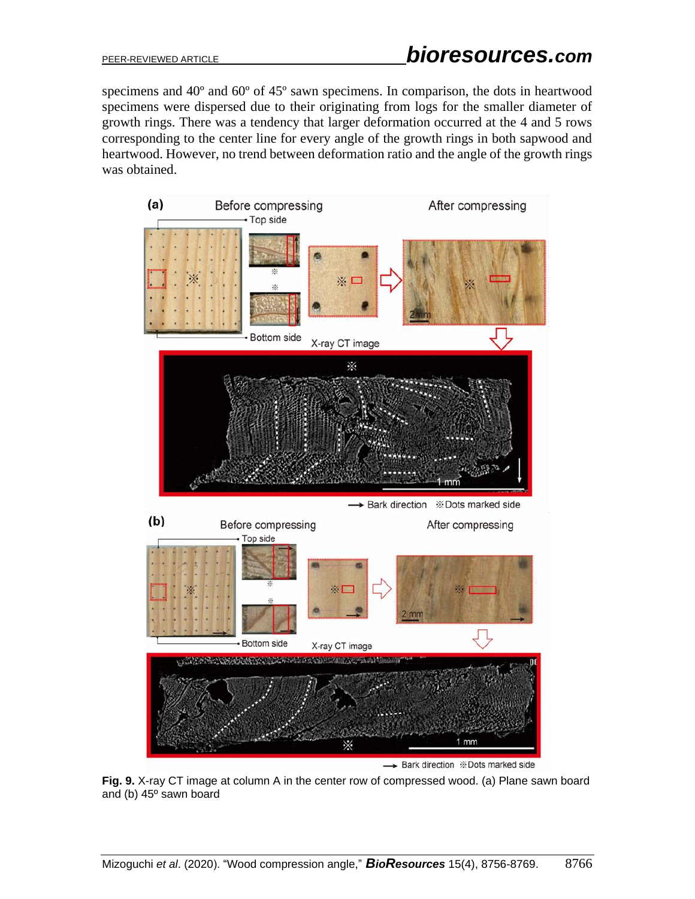specimens and 40º and 60º of 45º sawn specimens. In comparison, the dots in heartwood specimens were dispersed due to their originating from logs for the smaller diameter of growth rings. There was a tendency that larger deformation occurred at the 4 and 5 rows corresponding to the center line for every angle of the growth rings in both sapwood and heartwood. However, no trend between deformation ratio and the angle of the growth rings was obtained.



**Fig. 9.** X-ray CT image at column A in the center row of compressed wood. (a) Plane sawn board and (b) 45º sawn board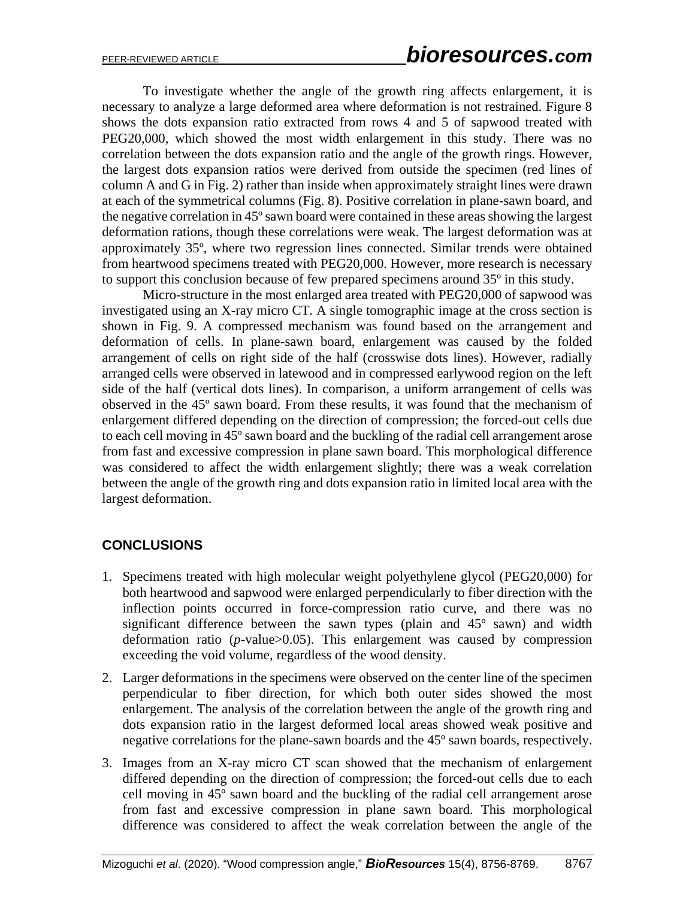To investigate whether the angle of the growth ring affects enlargement, it is necessary to analyze a large deformed area where deformation is not restrained. Figure 8 shows the dots expansion ratio extracted from rows 4 and 5 of sapwood treated with PEG20,000, which showed the most width enlargement in this study. There was no correlation between the dots expansion ratio and the angle of the growth rings. However, the largest dots expansion ratios were derived from outside the specimen (red lines of column A and G in Fig. 2) rather than inside when approximately straight lines were drawn at each of the symmetrical columns (Fig. 8). Positive correlation in plane-sawn board, and the negative correlation in 45º sawn board were contained in these areas showing the largest deformation rations, though these correlations were weak. The largest deformation was at approximately 35º, where two regression lines connected. Similar trends were obtained from heartwood specimens treated with PEG20,000. However, more research is necessary to support this conclusion because of few prepared specimens around 35º in this study.

Micro-structure in the most enlarged area treated with PEG20,000 of sapwood was investigated using an X-ray micro CT. A single tomographic image at the cross section is shown in Fig. 9. A compressed mechanism was found based on the arrangement and deformation of cells. In plane-sawn board, enlargement was caused by the folded arrangement of cells on right side of the half (crosswise dots lines). However, radially arranged cells were observed in latewood and in compressed earlywood region on the left side of the half (vertical dots lines). In comparison, a uniform arrangement of cells was observed in the 45º sawn board. From these results, it was found that the mechanism of enlargement differed depending on the direction of compression; the forced-out cells due to each cell moving in 45º sawn board and the buckling of the radial cell arrangement arose from fast and excessive compression in plane sawn board. This morphological difference was considered to affect the width enlargement slightly; there was a weak correlation between the angle of the growth ring and dots expansion ratio in limited local area with the largest deformation.

## **CONCLUSIONS**

- 1. Specimens treated with high molecular weight polyethylene glycol (PEG20,000) for both heartwood and sapwood were enlarged perpendicularly to fiber direction with the inflection points occurred in force-compression ratio curve, and there was no significant difference between the sawn types (plain and 45º sawn) and width deformation ratio (*p*-value>0.05). This enlargement was caused by compression exceeding the void volume, regardless of the wood density.
- 2. Larger deformations in the specimens were observed on the center line of the specimen perpendicular to fiber direction, for which both outer sides showed the most enlargement. The analysis of the correlation between the angle of the growth ring and dots expansion ratio in the largest deformed local areas showed weak positive and negative correlations for the plane-sawn boards and the 45º sawn boards, respectively.
- 3. Images from an X-ray micro CT scan showed that the mechanism of enlargement differed depending on the direction of compression; the forced-out cells due to each cell moving in 45º sawn board and the buckling of the radial cell arrangement arose from fast and excessive compression in plane sawn board. This morphological difference was considered to affect the weak correlation between the angle of the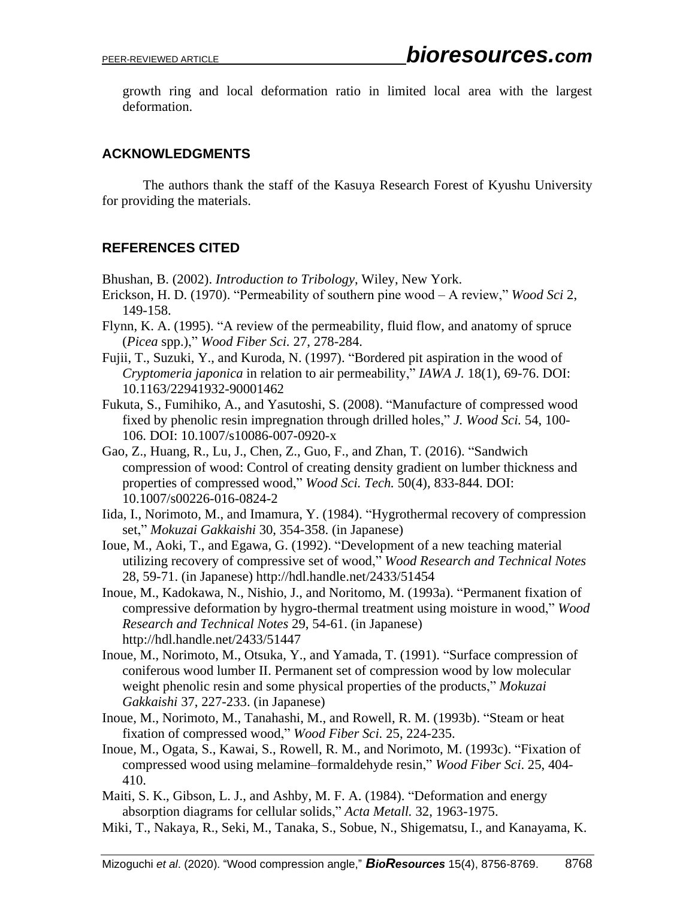growth ring and local deformation ratio in limited local area with the largest deformation.

## **ACKNOWLEDGMENTS**

The authors thank the staff of the Kasuya Research Forest of Kyushu University for providing the materials.

## **REFERENCES CITED**

Bhushan, B. (2002). *Introduction to Tribology*, Wiley, New York.

- Erickson, H. D. (1970). "Permeability of southern pine wood A review," *Wood Sci* 2, 149-158.
- Flynn, K. A. (1995). "A review of the permeability, fluid flow, and anatomy of spruce (*Picea* spp.)," *Wood Fiber Sci.* 27, 278-284.
- Fujii, T., Suzuki, Y., and Kuroda, N. (1997). "Bordered pit aspiration in the wood of *Cryptomeria japonica* in relation to air permeability," *IAWA J.* 18(1), 69-76. DOI: 10.1163/22941932-90001462
- Fukuta, S., Fumihiko, A., and Yasutoshi, S. (2008). "Manufacture of compressed wood fixed by phenolic resin impregnation through drilled holes," *J. Wood Sci.* 54, 100- 106. DOI: 10.1007/s10086-007-0920-x
- Gao, Z., Huang, R., Lu, J., Chen, Z., Guo, F., and Zhan, T. (2016). "Sandwich compression of wood: Control of creating density gradient on lumber thickness and properties of compressed wood," *Wood Sci. Tech.* 50(4), 833-844. DOI: 10.1007/s00226-016-0824-2
- Iida, I., Norimoto, M., and Imamura, Y. (1984). "Hygrothermal recovery of compression set," *Mokuzai Gakkaishi* 30, 354-358. (in Japanese)
- Ioue, M., Aoki, T., and Egawa, G. (1992). "Development of a new teaching material utilizing recovery of compressive set of wood," *Wood Research and Technical Notes* 28, 59-71. (in Japanese) http://hdl.handle.net/2433/51454
- Inoue, M., Kadokawa, N., Nishio, J., and Noritomo, M. (1993a). "Permanent fixation of compressive deformation by hygro-thermal treatment using moisture in wood," *Wood Research and Technical Notes* 29, 54-61. (in Japanese) http://hdl.handle.net/2433/51447
- Inoue, M., Norimoto, M., Otsuka, Y., and Yamada, T. (1991). "Surface compression of coniferous wood lumber II. Permanent set of compression wood by low molecular weight phenolic resin and some physical properties of the products," *Mokuzai Gakkaishi* 37, 227-233. (in Japanese)
- Inoue, M., Norimoto, M., Tanahashi, M., and Rowell, R. M. (1993b). "Steam or heat fixation of compressed wood," *Wood Fiber Sci.* 25, 224-235.
- Inoue, M., Ogata, S., Kawai, S., Rowell, R. M., and Norimoto, M. (1993c). "Fixation of compressed wood using melamine–formaldehyde resin," *Wood Fiber Sci*. 25, 404- 410.
- Maiti, S. K., Gibson, L. J., and Ashby, M. F. A. (1984). "Deformation and energy absorption diagrams for cellular solids," *Acta Metall.* 32, 1963-1975.
- Miki, T., Nakaya, R., Seki, M., Tanaka, S., Sobue, N., Shigematsu, I., and Kanayama, K.